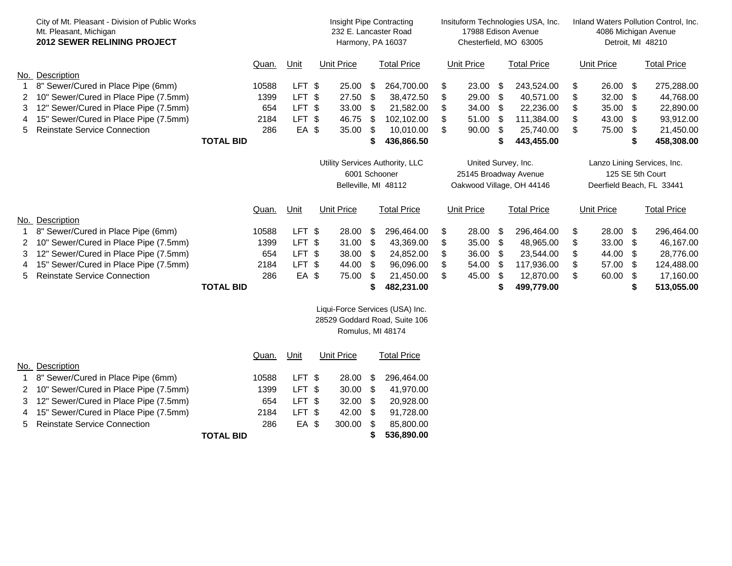|                                                                                       | City of Mt. Pleasant - Division of Public Works<br>Mt. Pleasant, Michigan<br><b>2012 SEWER RELINING PROJECT</b>      |                  |                      |                            | Insight Pipe Contracting<br>232 E. Lancaster Road<br>Harmony, PA 16037   |                         |                                       | Insituform Technologies USA, Inc.<br>17988 Edison Avenue<br>Chesterfield, MO 63005 |          |                         |                                                                              | Inland Waters Pollution Control, Inc.<br>4086 Michigan Avenue<br>Detroit, MI 48210 |                |                         |                                 |                                      |
|---------------------------------------------------------------------------------------|----------------------------------------------------------------------------------------------------------------------|------------------|----------------------|----------------------------|--------------------------------------------------------------------------|-------------------------|---------------------------------------|------------------------------------------------------------------------------------|----------|-------------------------|------------------------------------------------------------------------------|------------------------------------------------------------------------------------|----------------|-------------------------|---------------------------------|--------------------------------------|
| No.                                                                                   | Description                                                                                                          |                  | Quan.                | Unit                       |                                                                          | <b>Unit Price</b>       |                                       | <b>Total Price</b>                                                                 |          | <b>Unit Price</b>       |                                                                              | <b>Total Price</b>                                                                 |                | <b>Unit Price</b>       |                                 | <b>Total Price</b>                   |
| 2<br>3                                                                                | 8" Sewer/Cured in Place Pipe (6mm)<br>10" Sewer/Cured in Place Pipe (7.5mm)<br>12" Sewer/Cured in Place Pipe (7.5mm) |                  | 10588<br>1399<br>654 | LFT \$<br>LFT \$<br>LFT \$ |                                                                          | 25.00<br>27.50<br>33.00 | \$<br>$\boldsymbol{\mathsf{S}}$<br>\$ | 264,700.00<br>38,472.50<br>21,582.00                                               | S<br>\$  | 23.00<br>29.00<br>34.00 | - \$<br>$\boldsymbol{\mathcal{F}}$<br>\$                                     | 243,524.00<br>40,571.00<br>22,236.00                                               | \$<br>\$<br>\$ | 26.00<br>32.00<br>35.00 | - \$<br>\$<br>\$                | 275,288.00<br>44,768.00<br>22,890.00 |
| 4<br>5.                                                                               | 15" Sewer/Cured in Place Pipe (7.5mm)<br><b>Reinstate Service Connection</b>                                         | <b>TOTAL BID</b> | 2184<br>286          | LFT \$<br>EA \$            |                                                                          | 46.75<br>35.00          | \$<br>-S<br>S                         | 102,102.00<br>10,010.00<br>436,866.50                                              | \$       | 51.00<br>90.00          | \$<br>\$<br>S                                                                | 111,384.00<br>25,740.00<br>443,455.00                                              | \$<br>\$       | 43.00<br>75.00          | \$<br>\$<br>S                   | 93,912.00<br>21,450.00<br>458,308.00 |
|                                                                                       |                                                                                                                      |                  |                      |                            | Utility Services Authority, LLC<br>6001 Schooner<br>Belleville, MI 48112 |                         |                                       | United Survey, Inc.<br>25145 Broadway Avenue<br>Oakwood Village, OH 44146          |          |                         | Lanzo Lining Services, Inc.<br>125 SE 5th Court<br>Deerfield Beach, FL 33441 |                                                                                    |                |                         |                                 |                                      |
|                                                                                       | Description                                                                                                          |                  | Quan.                | Unit                       |                                                                          | <b>Unit Price</b>       |                                       | <b>Total Price</b>                                                                 |          | <b>Unit Price</b>       |                                                                              | <b>Total Price</b>                                                                 |                | <b>Unit Price</b>       |                                 | <b>Total Price</b>                   |
| No.                                                                                   | 8" Sewer/Cured in Place Pipe (6mm)<br>10" Sewer/Cured in Place Pipe (7.5mm)                                          |                  | 10588<br>1399        | LFT \$<br>LFT \$           |                                                                          | 28.00<br>31.00          | \$<br>\$                              | 296,464.00<br>43,369.00                                                            | \$<br>\$ | 28.00<br>35.00          | - \$<br>\$                                                                   | 296,464.00<br>48,965.00                                                            | \$<br>\$       | 28.00 \$<br>33.00       | -\$                             | 296,464.00<br>46,167.00              |
| 3<br>4                                                                                | 12" Sewer/Cured in Place Pipe (7.5mm)<br>15" Sewer/Cured in Place Pipe (7.5mm)                                       |                  | 654<br>2184          | LFT \$<br>LFT \$           |                                                                          | 38.00<br>44.00          | S.<br>\$                              | 24,852.00<br>96,096.00                                                             | \$       | 36.00<br>54.00          | \$<br>\$                                                                     | 23,544.00<br>117,936.00                                                            | \$<br>\$       | 44.00<br>57.00          | \$<br>\$                        | 28,776.00<br>124,488.00              |
| 5.                                                                                    | <b>Reinstate Service Connection</b>                                                                                  | <b>TOTAL BID</b> | 286                  | EA \$                      |                                                                          | 75.00                   | \$                                    | 21,450.00<br>482,231.00                                                            |          | 45.00                   | \$<br>S                                                                      | 12,870.00<br>499,779.00                                                            | \$             | 60.00                   | $\boldsymbol{\mathsf{S}}$<br>\$ | 17,160.00<br>513,055.00              |
| Liqui-Force Services (USA) Inc.<br>28529 Goddard Road, Suite 106<br>Romulus, MI 48174 |                                                                                                                      |                  |                      |                            |                                                                          |                         |                                       |                                                                                    |          |                         |                                                                              |                                                                                    |                |                         |                                 |                                      |
|                                                                                       |                                                                                                                      |                  | Quan.                | Unit                       |                                                                          | <b>Unit Price</b>       |                                       | <b>Total Price</b>                                                                 |          |                         |                                                                              |                                                                                    |                |                         |                                 |                                      |

|                  | No. Description                         |  |       |        |  |        |      |            |
|------------------|-----------------------------------------|--|-------|--------|--|--------|------|------------|
|                  | 1 8" Sewer/Cured in Place Pipe (6mm)    |  | 10588 | LFT \$ |  | 28.00  | - \$ | 296,464.00 |
|                  | 2 10" Sewer/Cured in Place Pipe (7.5mm) |  | 1399  | LFT \$ |  | 30.00  | - \$ | 41,970.00  |
|                  | 3 12" Sewer/Cured in Place Pipe (7.5mm) |  | 654   | LFT \$ |  | 32.00  | - \$ | 20,928.00  |
|                  | 4 15" Sewer/Cured in Place Pipe (7.5mm) |  | 2184  | LFT \$ |  | 42.00  | - \$ | 91,728.00  |
|                  | 5 Reinstate Service Connection          |  | 286   | EA \$  |  | 300.00 |      | 85,800.00  |
| <b>TOTAL BID</b> |                                         |  |       |        |  |        |      | 536,890.00 |